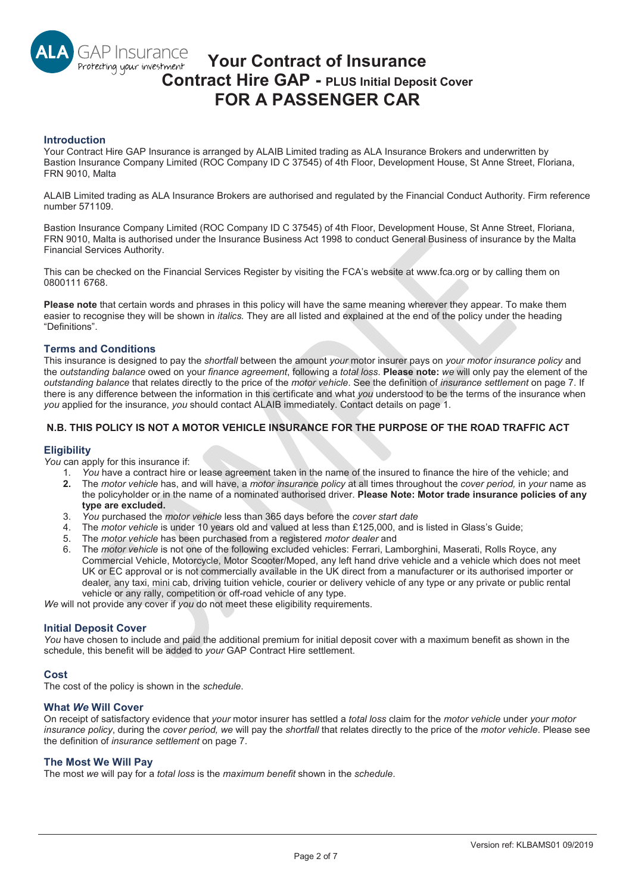# **GAP Insurance Your Contract of Insurance**  Protecting your investment **Contract Hire GAP - PLUS Initial Deposit Cover FOR A PASSENGER CAR**

## **Introduction**

Your Contract Hire GAP Insurance is arranged by ALAIB Limited trading as ALA Insurance Brokers and underwritten by Bastion Insurance Company Limited (ROC Company ID C 37545) of 4th Floor, Development House, St Anne Street, Floriana, FRN 9010, Malta

ALAIB Limited trading as ALA Insurance Brokers are authorised and regulated by the Financial Conduct Authority. Firm reference number 571109.

Bastion Insurance Company Limited (ROC Company ID C 37545) of 4th Floor, Development House, St Anne Street, Floriana, FRN 9010, Malta is authorised under the Insurance Business Act 1998 to conduct General Business of insurance by the Malta Financial Services Authority.

This can be checked on the Financial Services Register by visiting the FCA's website at www.fca.org or by calling them on 0800111 6768.

**Please note** that certain words and phrases in this policy will have the same meaning wherever they appear. To make them easier to recognise they will be shown in *italics.* They are all listed and explained at the end of the policy under the heading "Definitions".

## **Terms and Conditions**

This insurance is designed to pay the *shortfall* between the amount *your* motor insurer pays on *your motor insurance policy* and the *outstanding balance* owed on your *finance agreement*, following a *total loss*. **Please note:** *we* will only pay the element of the *outstanding balance* that relates directly to the price of the *motor vehicle*. See the definition of *insurance settlement* on page 7. If there is any difference between the information in this certificate and what *you* understood to be the terms of the insurance when *you* applied for the insurance, *you* should contact ALAIB immediately. Contact details on page 1.

# **N.B. THIS POLICY IS NOT A MOTOR VEHICLE INSURANCE FOR THE PURPOSE OF THE ROAD TRAFFIC ACT**

### **Eligibility**

*You* can apply for this insurance if:

- 1. *You* have a contract hire or lease agreement taken in the name of the insured to finance the hire of the vehicle; and
- **2.** The *motor vehicle* has, and will have, a *motor insurance policy* at all times throughout the *cover period,* in *your* name as the policyholder or in the name of a nominated authorised driver. **Please Note: Motor trade insurance policies of any type are excluded.**
- 3. *You* purchased the *motor vehicle* less than 365 days before the *cover start date*
- 4. The *motor vehicle* is under 10 years old and valued at less than £125,000, and is listed in Glass's Guide;
- 5. The *motor vehicle* has been purchased from a registered *motor dealer* and
- 6. The *motor vehicle* is not one of the following excluded vehicles: Ferrari, Lamborghini, Maserati, Rolls Royce, any Commercial Vehicle, Motorcycle, Motor Scooter/Moped, any left hand drive vehicle and a vehicle which does not meet UK or EC approval or is not commercially available in the UK direct from a manufacturer or its authorised importer or dealer, any taxi, mini cab, driving tuition vehicle, courier or delivery vehicle of any type or any private or public rental vehicle or any rally, competition or off-road vehicle of any type.

*We* will not provide any cover if *you* do not meet these eligibility requirements.

### **Initial Deposit Cover**

*You* have chosen to include and paid the additional premium for initial deposit cover with a maximum benefit as shown in the schedule, this benefit will be added to *your* GAP Contract Hire settlement.

### **Cost**

The cost of the policy is shown in the *schedule*.

### **What** *We* **Will Cover**

On receipt of satisfactory evidence that *your* motor insurer has settled a *total loss* claim for the *motor vehicle* under *your motor insurance policy*, during the *cover period, we* will pay the *shortfall* that relates directly to the price of the *motor vehicle*. Please see the definition of *insurance settlement* on page 7.

### **The Most We Will Pay**

The most *we* will pay for a *total loss* is the *maximum benefit* shown in the *schedule*.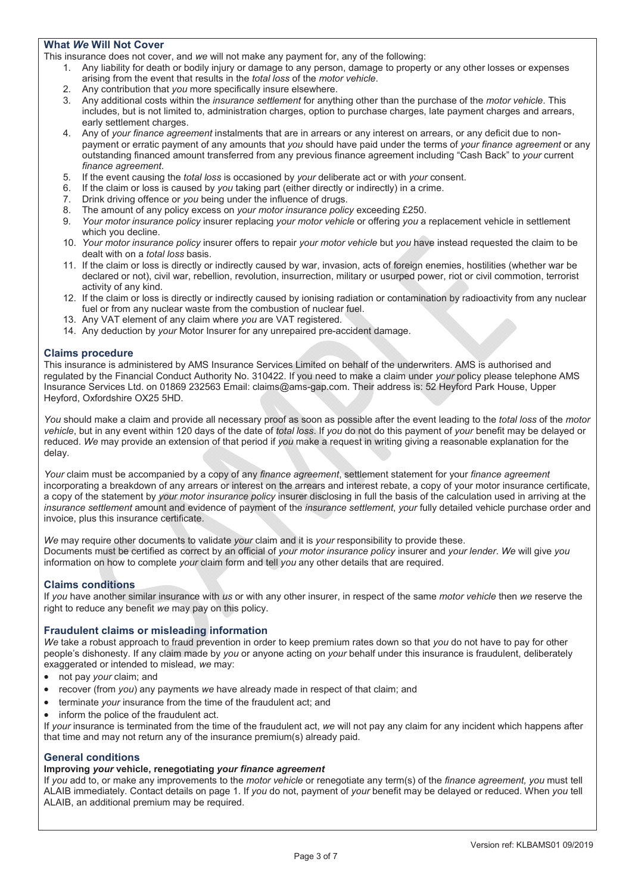# **What** *We* **Will Not Cover**

This insurance does not cover, and *we* will not make any payment for, any of the following:

- 1. Any liability for death or bodily injury or damage to any person, damage to property or any other losses or expenses arising from the event that results in the *total loss* of the *motor vehicle*.
- 2. Any contribution that *you* more specifically insure elsewhere.<br>3. Any additional costs within the *insurance settlement* for anyth
- 3. Any additional costs within the *insurance settlement* for anything other than the purchase of the *motor vehicle*. This includes, but is not limited to, administration charges, option to purchase charges, late payment charges and arrears, early settlement charges.
- 4. Any of *your finance agreement* instalments that are in arrears or any interest on arrears, or any deficit due to nonpayment or erratic payment of any amounts that *you* should have paid under the terms of *your finance agreement* or any outstanding financed amount transferred from any previous finance agreement including "Cash Back" to *your* current *finance agreement*.
- 5. If the event causing the *total loss* is occasioned by *your* deliberate act or with *your* consent.
- 6. If the claim or loss is caused by *you* taking part (either directly or indirectly) in a crime.
- 7. Drink driving offence or *you* being under the influence of drugs.
- 8. The amount of any policy excess on *your motor insurance policy* exceeding £250.
- 9. *Your motor insurance policy* insurer replacing *your motor vehicle* or offering *you* a replacement vehicle in settlement which you decline.
- 10. *Your motor insurance policy* insurer offers to repair *your motor vehicle* but *you* have instead requested the claim to be dealt with on a *total loss* basis.
- 11. If the claim or loss is directly or indirectly caused by war, invasion, acts of foreign enemies, hostilities (whether war be declared or not), civil war, rebellion, revolution, insurrection, military or usurped power, riot or civil commotion, terrorist activity of any kind.
- 12. If the claim or loss is directly or indirectly caused by ionising radiation or contamination by radioactivity from any nuclear fuel or from any nuclear waste from the combustion of nuclear fuel.
- 13. Any VAT element of any claim where *you* are VAT registered.
- 14. Any deduction by *your* Motor Insurer for any unrepaired pre-accident damage.

## **Claims procedure**

This insurance is administered by AMS Insurance Services Limited on behalf of the underwriters. AMS is authorised and regulated by the Financial Conduct Authority No. 310422. If you need to make a claim under *your* policy please telephone AMS Insurance Services Ltd. on 01869 232563 Email: claims@ams-gap.com. Their address is: 52 Heyford Park House, Upper Heyford, Oxfordshire OX25 5HD.

*You* should make a claim and provide all necessary proof as soon as possible after the event leading to the *total loss* of the *motor vehicle*, but in any event within 120 days of the date of *total loss*. If *you* do not do this payment of *your* benefit may be delayed or reduced. *We* may provide an extension of that period if *you* make a request in writing giving a reasonable explanation for the delay.

*Your* claim must be accompanied by a copy of any *finance agreement*, settlement statement for your *finance agreement* incorporating a breakdown of any arrears or interest on the arrears and interest rebate, a copy of your motor insurance certificate, a copy of the statement by *your motor insurance policy* insurer disclosing in full the basis of the calculation used in arriving at the *insurance settlement* amount and evidence of payment of the *insurance settlement*, *your* fully detailed vehicle purchase order and invoice, plus this insurance certificate.

*We* may require other documents to validate *your* claim and it is *your* responsibility to provide these. Documents must be certified as correct by an official of *your motor insurance policy* insurer and *your lender*. *We* will give *you* information on how to complete *your* claim form and tell *you* any other details that are required.

## **Claims conditions**

If *you* have another similar insurance with *us* or with any other insurer, in respect of the same *motor vehicle* then *we* reserve the right to reduce any benefit *we* may pay on this policy.

## **Fraudulent claims or misleading information**

*We* take a robust approach to fraud prevention in order to keep premium rates down so that *you* do not have to pay for other people's dishonesty. If any claim made by *you* or anyone acting on *your* behalf under this insurance is fraudulent, deliberately exaggerated or intended to mislead, *we* may:

- not pay *your* claim; and
- recover (from *you*) any payments we have already made in respect of that claim; and
- terminate your insurance from the time of the fraudulent act; and
- inform the police of the fraudulent act.

If *your* insurance is terminated from the time of the fraudulent act, *we* will not pay any claim for any incident which happens after that time and may not return any of the insurance premium(s) already paid.

### **General conditions**

# **Improving** *your* **vehicle, renegotiating** *your finance agreement*

If *you* add to, or make any improvements to the *motor vehicle* or renegotiate any term(s) of the *finance agreement, you* must tell ALAIB immediately. Contact details on page 1. If *you* do not, payment of *your* benefit may be delayed or reduced. When *you* tell ALAIB, an additional premium may be required.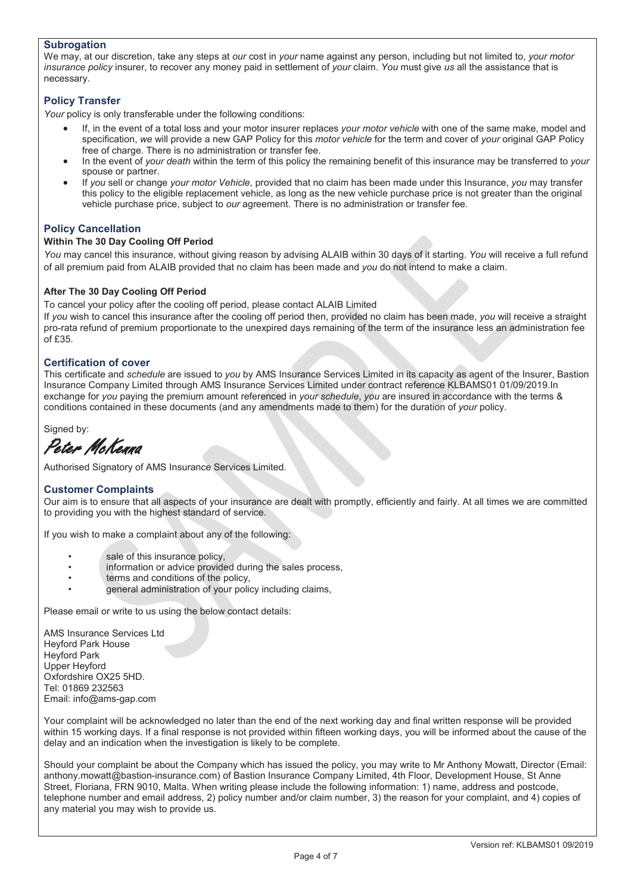## **Subrogation**

We may, at our discretion, take any steps at *our* cost in *your* name against any person, including but not limited to, *your motor insurance policy* insurer, to recover any money paid in settlement of *your* claim. *You* must give *us* all the assistance that is necessary.

# **Policy Transfer**

Your policy is only transferable under the following conditions:

- x If, in the event of a total loss and your motor insurer replaces *your motor vehicle* with one of the same make, model and specification, *we* will provide a new GAP Policy for this *motor vehicle* for the term and cover of *your* original GAP Policy free of charge. There is no administration or transfer fee.
- x In the event of *your death* within the term of this policy the remaining benefit of this insurance may be transferred to *your*  spouse or partner.
- x If *you* sell or change *your motor Vehicle*, provided that no claim has been made under this Insurance, *you* may transfer this policy to the eligible replacement vehicle, as long as the new vehicle purchase price is not greater than the original vehicle purchase price, subject to *our* agreement. There is no administration or transfer fee.

# **Policy Cancellation**

## **Within The 30 Day Cooling Off Period**

*You* may cancel this insurance, without giving reason by advising ALAIB within 30 days of it starting. *You* will receive a full refund of all premium paid from ALAIB provided that no claim has been made and *you* do not intend to make a claim.

# **After The 30 Day Cooling Off Period**

To cancel your policy after the cooling off period, please contact ALAIB Limited

If *you* wish to cancel this insurance after the cooling off period then, provided no claim has been made, *you* will receive a straight pro-rata refund of premium proportionate to the unexpired days remaining of the term of the insurance less an administration fee of £35.

## **Certification of cover**

This certificate and *schedule* are issued to *you* by AMS Insurance Services Limited in its capacity as agent of the Insurer, Bastion Insurance Company Limited through AMS Insurance Services Limited under contract reference KLBAMS01 01/09/2019.In exchange for *you* paying the premium amount referenced in *your schedule*, *you* are insured in accordance with the terms & conditions contained in these documents (and any amendments made to them) for the duration of *your* policy.

Signed by:

Peter McKenna

Authorised Signatory of AMS Insurance Services Limited.

## **Customer Complaints**

Our aim is to ensure that all aspects of your insurance are dealt with promptly, efficiently and fairly. At all times we are committed to providing you with the highest standard of service.

If you wish to make a complaint about any of the following:

- sale of this insurance policy,
- information or advice provided during the sales process,
- terms and conditions of the policy.
- general administration of your policy including claims,

Please email or write to us using the below contact details:

AMS Insurance Services Ltd Heyford Park House Heyford Park Upper Heyford Oxfordshire OX25 5HD. Tel: 01869 232563 Email: info@ams-gap.com

Your complaint will be acknowledged no later than the end of the next working day and final written response will be provided within 15 working days. If a final response is not provided within fifteen working days, you will be informed about the cause of the delay and an indication when the investigation is likely to be complete.

Should your complaint be about the Company which has issued the policy, you may write to Mr Anthony Mowatt, Director (Email: anthony.mowatt@bastion-insurance.com) of Bastion Insurance Company Limited, 4th Floor, Development House, St Anne Street, Floriana, FRN 9010, Malta. When writing please include the following information: 1) name, address and postcode, telephone number and email address, 2) policy number and/or claim number, 3) the reason for your complaint, and 4) copies of any material you may wish to provide us.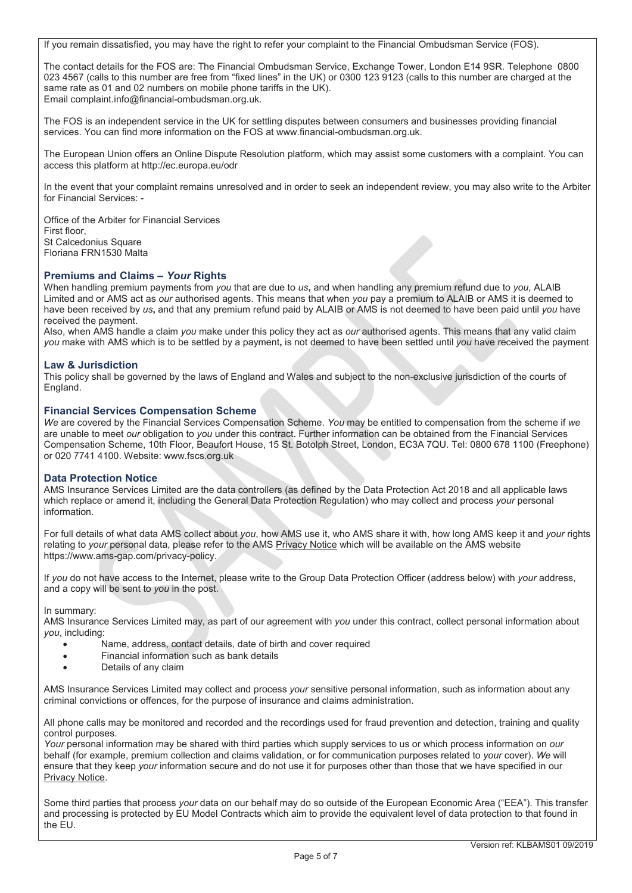If you remain dissatisfied, you may have the right to refer your complaint to the Financial Ombudsman Service (FOS).

The contact details for the FOS are: The Financial Ombudsman Service, Exchange Tower, London E14 9SR. Telephone 0800 023 4567 (calls to this number are free from "fixed lines" in the UK) or 0300 123 9123 (calls to this number are charged at the same rate as 01 and 02 numbers on mobile phone tariffs in the UK). Email complaint.info@financial-ombudsman.org.uk.

The FOS is an independent service in the UK for settling disputes between consumers and businesses providing financial services. You can find more information on the FOS at www.financial-ombudsman.org.uk.

The European Union offers an Online Dispute Resolution platform, which may assist some customers with a complaint. You can access this platform at http://ec.europa.eu/odr

In the event that your complaint remains unresolved and in order to seek an independent review, you may also write to the Arbiter for Financial Services: -

Office of the Arbiter for Financial Services First floor, St Calcedonius Square Floriana FRN1530 Malta

## **Premiums and Claims –** *Your* **Rights**

When handling premium payments from *you* that are due to *us***,** and when handling any premium refund due to *you*, ALAIB Limited and or AMS act as *our* authorised agents. This means that when *you* pay a premium to ALAIB or AMS it is deemed to have been received by *us***,** and that any premium refund paid by ALAIB or AMS is not deemed to have been paid until *you* have received the payment.

Also, when AMS handle a claim *you* make under this policy they act as *our* authorised agents. This means that any valid claim *you* make with AMS which is to be settled by a payment**,** is not deemed to have been settled until *you* have received the payment

## **Law & Jurisdiction**

This policy shall be governed by the laws of England and Wales and subject to the non-exclusive jurisdiction of the courts of England.

### **Financial Services Compensation Scheme**

*We* are covered by the Financial Services Compensation Scheme. *You* may be entitled to compensation from the scheme if *we*  are unable to meet *our* obligation to *you* under this contract. Further information can be obtained from the Financial Services Compensation Scheme, 10th Floor, Beaufort House, 15 St. Botolph Street, London, EC3A 7QU. Tel: 0800 678 1100 (Freephone) or 020 7741 4100. Website: www.fscs.org.uk

## **Data Protection Notice**

AMS Insurance Services Limited are the data controllers (as defined by the Data Protection Act 2018 and all applicable laws which replace or amend it, including the General Data Protection Regulation) who may collect and process *your* personal information.

For full details of what data AMS collect about *you*, how AMS use it, who AMS share it with, how long AMS keep it and *your* rights relating to *your* personal data, please refer to the AMS Privacy Notice which will be available on the AMS website https://www.ams-gap.com/privacy-policy.

If *you* do not have access to the Internet, please write to the Group Data Protection Officer (address below) with *your* address, and a copy will be sent to *you* in the post.

In summary:

AMS Insurance Services Limited may, as part of our agreement with *you* under this contract, collect personal information about *you*, including:

- Name, address, contact details, date of birth and cover required
- **•** Financial information such as bank details
- Details of any claim

AMS Insurance Services Limited may collect and process *your* sensitive personal information, such as information about any criminal convictions or offences, for the purpose of insurance and claims administration.

All phone calls may be monitored and recorded and the recordings used for fraud prevention and detection, training and quality control purposes.

*Your* personal information may be shared with third parties which supply services to us or which process information on *our* behalf (for example, premium collection and claims validation, or for communication purposes related to *your* cover). *We* will ensure that they keep *your* information secure and do not use it for purposes other than those that we have specified in our Privacy Notice.

Some third parties that process *your* data on our behalf may do so outside of the European Economic Area ("EEA"). This transfer and processing is protected by EU Model Contracts which aim to provide the equivalent level of data protection to that found in the EU.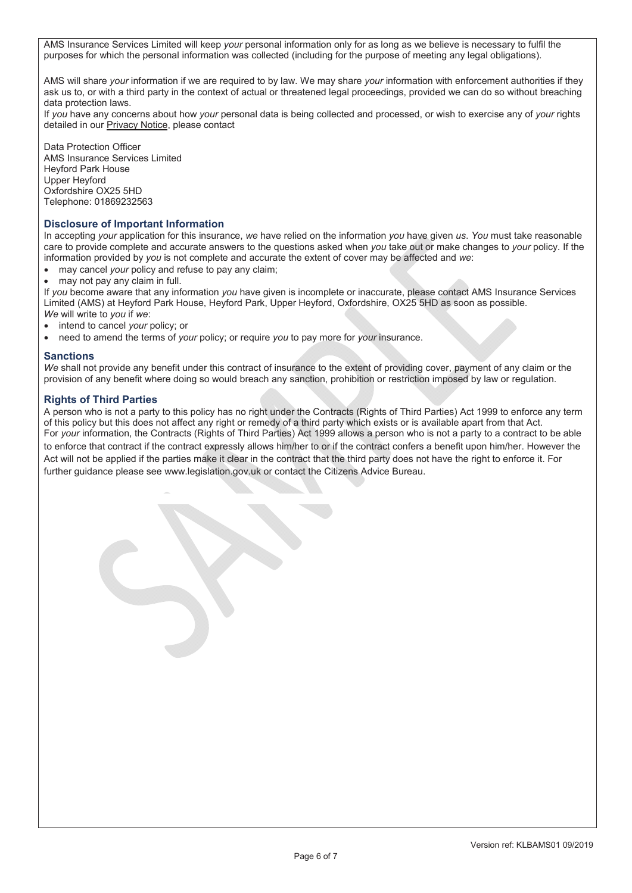AMS Insurance Services Limited will keep *your* personal information only for as long as we believe is necessary to fulfil the purposes for which the personal information was collected (including for the purpose of meeting any legal obligations).

AMS will share *your* information if we are required to by law. We may share *your* information with enforcement authorities if they ask us to, or with a third party in the context of actual or threatened legal proceedings, provided we can do so without breaching data protection laws.

If *you* have any concerns about how *your* personal data is being collected and processed, or wish to exercise any of *your* rights detailed in our Privacy Notice, please contact

Data Protection Officer AMS Insurance Services Limited Heyford Park House Upper Heyford Oxfordshire OX25 5HD Telephone: 01869232563

# **Disclosure of Important Information**

In accepting *your* application for this insurance, *we* have relied on the information *you* have given *us*. *You* must take reasonable care to provide complete and accurate answers to the questions asked when *you* take out or make changes to *your* policy. If the information provided by *you* is not complete and accurate the extent of cover may be affected and *we*:

- may cancel *your* policy and refuse to pay any claim;
- may not pay any claim in full.

If *you* become aware that any information *you* have given is incomplete or inaccurate, please contact AMS Insurance Services Limited (AMS) at Heyford Park House, Heyford Park, Upper Heyford, Oxfordshire, OX25 5HD as soon as possible. *We* will write to *you* if *we*:

- x intend to cancel *your* policy; or
- x need to amend the terms of *your* policy; or require *you* to pay more for *your* insurance.

### **Sanctions**

*We* shall not provide any benefit under this contract of insurance to the extent of providing cover, payment of any claim or the provision of any benefit where doing so would breach any sanction, prohibition or restriction imposed by law or regulation.

# **Rights of Third Parties**

A person who is not a party to this policy has no right under the Contracts (Rights of Third Parties) Act 1999 to enforce any term of this policy but this does not affect any right or remedy of a third party which exists or is available apart from that Act. For *your* information, the Contracts (Rights of Third Parties) Act 1999 allows a person who is not a party to a contract to be able to enforce that contract if the contract expressly allows him/her to or if the contract confers a benefit upon him/her. However the Act will not be applied if the parties make it clear in the contract that the third party does not have the right to enforce it. For further guidance please see www.legislation.gov.uk or contact the Citizens Advice Bureau.